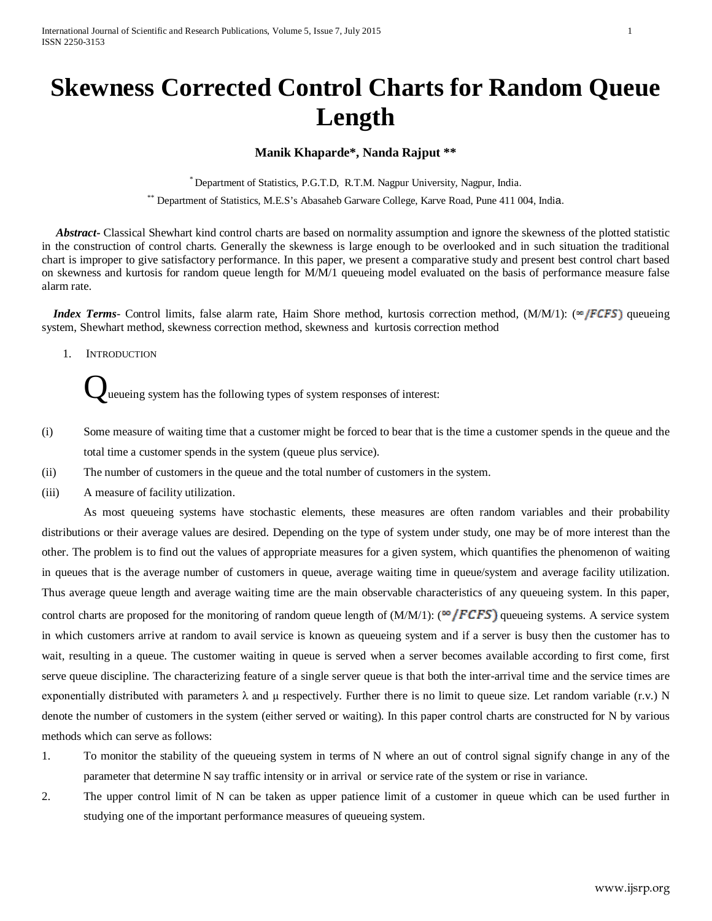# **Skewness Corrected Control Charts for Random Queue Length**

# **Manik Khaparde\*, Nanda Rajput \*\***

\* Department of Statistics, P.G.T.D, R.T.M. Nagpur University, Nagpur, India.

\*\* Department of Statistics, M.E.S's Abasaheb Garware College, Karve Road, Pune 411 004, India.

 *Abstract***-** Classical Shewhart kind control charts are based on normality assumption and ignore the skewness of the plotted statistic in the construction of control charts. Generally the skewness is large enough to be overlooked and in such situation the traditional chart is improper to give satisfactory performance. In this paper, we present a comparative study and present best control chart based on skewness and kurtosis for random queue length for M/M/1 queueing model evaluated on the basis of performance measure false alarm rate.

*Index Terms*- Control limits, false alarm rate, Haim Shore method, kurtosis correction method,  $(M/M/1)$ : ( $\approx$  **[FCFS**] queueing system, Shewhart method, skewness correction method, skewness and kurtosis correction method

1. INTRODUCTION

Queueing system has the following types of system responses of interest:

- (i) Some measure of waiting time that a customer might be forced to bear that is the time a customer spends in the queue and the total time a customer spends in the system (queue plus service).
- (ii) The number of customers in the queue and the total number of customers in the system.
- (iii) A measure of facility utilization.

As most queueing systems have stochastic elements, these measures are often random variables and their probability distributions or their average values are desired. Depending on the type of system under study, one may be of more interest than the other. The problem is to find out the values of appropriate measures for a given system, which quantifies the phenomenon of waiting in queues that is the average number of customers in queue, average waiting time in queue/system and average facility utilization. Thus average queue length and average waiting time are the main observable characteristics of any queueing system. In this paper, control charts are proposed for the monitoring of random queue length of  $(M/M/1)$ : ( $\omega$  **FCFS**) queueing systems. A service system in which customers arrive at random to avail service is known as queueing system and if a server is busy then the customer has to wait, resulting in a queue. The customer waiting in queue is served when a server becomes available according to first come, first serve queue discipline. The characterizing feature of a single server queue is that both the inter-arrival time and the service times are exponentially distributed with parameters  $\lambda$  and  $\mu$  respectively. Further there is no limit to queue size. Let random variable (r.v.) N denote the number of customers in the system (either served or waiting). In this paper control charts are constructed for N by various methods which can serve as follows:

- 1. To monitor the stability of the queueing system in terms of N where an out of control signal signify change in any of the parameter that determine N say traffic intensity or in arrival or service rate of the system or rise in variance.
- 2. The upper control limit of N can be taken as upper patience limit of a customer in queue which can be used further in studying one of the important performance measures of queueing system.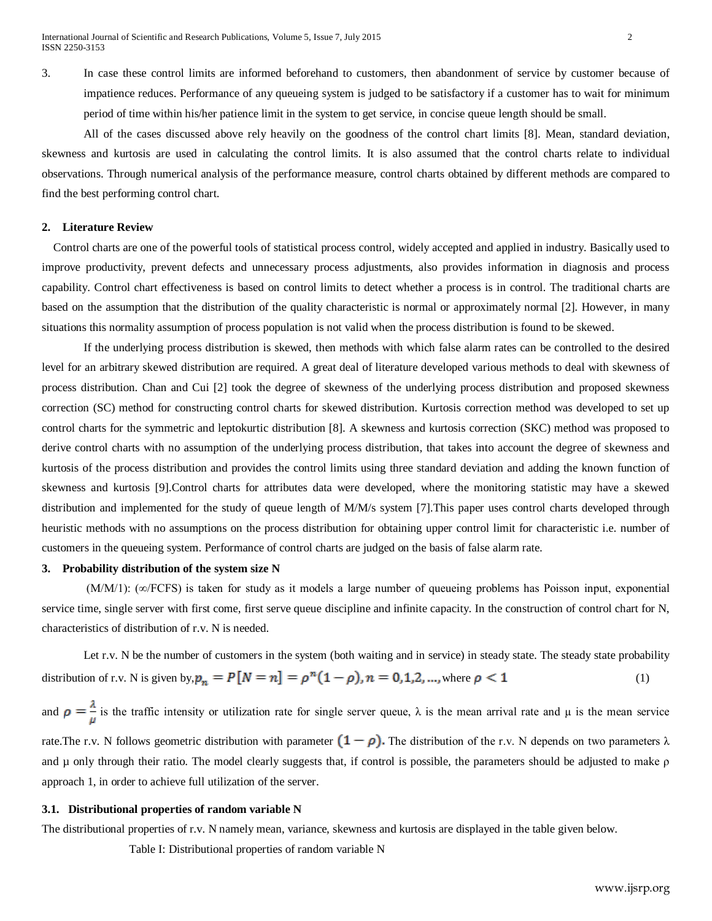3. In case these control limits are informed beforehand to customers, then abandonment of service by customer because of impatience reduces. Performance of any queueing system is judged to be satisfactory if a customer has to wait for minimum period of time within his/her patience limit in the system to get service, in concise queue length should be small.

All of the cases discussed above rely heavily on the goodness of the control chart limits [8]. Mean, standard deviation, skewness and kurtosis are used in calculating the control limits. It is also assumed that the control charts relate to individual observations. Through numerical analysis of the performance measure, control charts obtained by different methods are compared to find the best performing control chart.

# **2. Literature Review**

 Control charts are one of the powerful tools of statistical process control, widely accepted and applied in industry. Basically used to improve productivity, prevent defects and unnecessary process adjustments, also provides information in diagnosis and process capability. Control chart effectiveness is based on control limits to detect whether a process is in control. The traditional charts are based on the assumption that the distribution of the quality characteristic is normal or approximately normal [2]. However, in many situations this normality assumption of process population is not valid when the process distribution is found to be skewed.

If the underlying process distribution is skewed, then methods with which false alarm rates can be controlled to the desired level for an arbitrary skewed distribution are required. A great deal of literature developed various methods to deal with skewness of process distribution. Chan and Cui [2] took the degree of skewness of the underlying process distribution and proposed skewness correction (SC) method for constructing control charts for skewed distribution. Kurtosis correction method was developed to set up control charts for the symmetric and leptokurtic distribution [8]. A skewness and kurtosis correction (SKC) method was proposed to derive control charts with no assumption of the underlying process distribution, that takes into account the degree of skewness and kurtosis of the process distribution and provides the control limits using three standard deviation and adding the known function of skewness and kurtosis [9].Control charts for attributes data were developed, where the monitoring statistic may have a skewed distribution and implemented for the study of queue length of M/M/s system [7].This paper uses control charts developed through heuristic methods with no assumptions on the process distribution for obtaining upper control limit for characteristic i.e. number of customers in the queueing system. Performance of control charts are judged on the basis of false alarm rate.

# **3. Probability distribution of the system size N**

(M/M/1): (∞/FCFS) is taken for study as it models a large number of queueing problems has Poisson input, exponential service time, single server with first come, first serve queue discipline and infinite capacity. In the construction of control chart for N, characteristics of distribution of r.v. N is needed.

Let r.v. N be the number of customers in the system (both waiting and in service) in steady state. The steady state probability distribution of r.v. N is given by,  $p_n = P[N = n] = \rho^n (1 - \rho), n = 0, 1, 2, \dots$ , where  $\rho < 1$  (1)

and  $\rho = \frac{\lambda}{\mu}$  is the traffic intensity or utilization rate for single server queue,  $\lambda$  is the mean arrival rate and  $\mu$  is the mean service rate.The r.v. N follows geometric distribution with parameter  $(1-\rho)$ . The distribution of the r.v. N depends on two parameters  $\lambda$ and µ only through their ratio. The model clearly suggests that, if control is possible, the parameters should be adjusted to make ρ approach 1, in order to achieve full utilization of the server.

#### **3.1. Distributional properties of random variable N**

The distributional properties of r.v. N namely mean, variance, skewness and kurtosis are displayed in the table given below.

Table I: Distributional properties of random variable N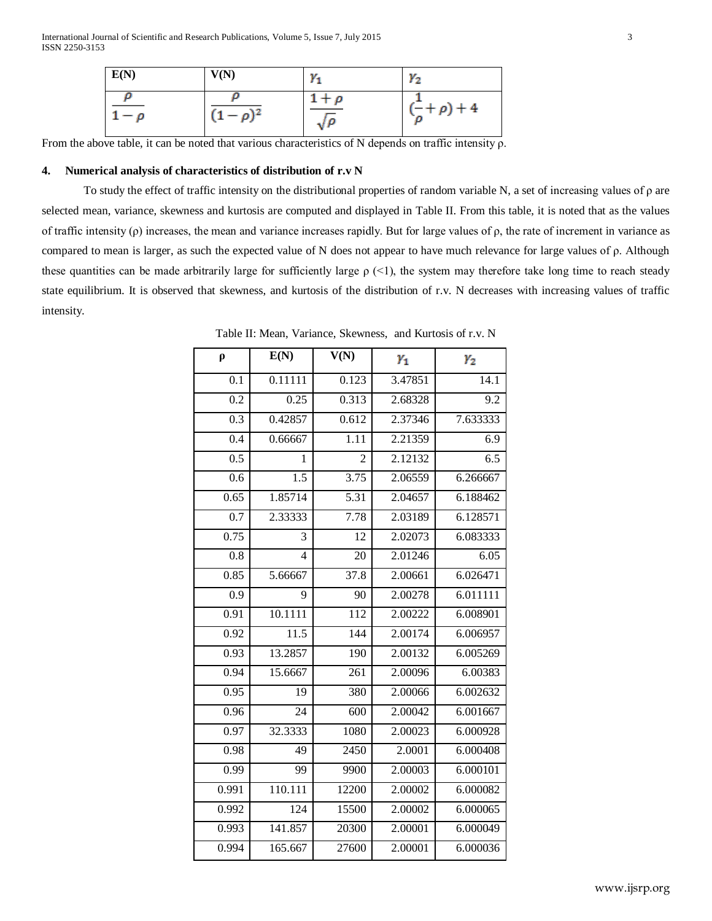International Journal of Scientific and Research Publications, Volume 5, Issue 7, July 2015 3 ISSN 2250-3153

| E(N)          | V(N)           | $Y_1$                     | $Y_2$                                    |
|---------------|----------------|---------------------------|------------------------------------------|
| D<br>$1-\rho$ | $(1 - \rho)^2$ | $1+\rho$<br>$\sqrt{\rho}$ | $\left(\frac{-}{\rho} + \rho\right) + 4$ |

From the above table, it can be noted that various characteristics of N depends on traffic intensity  $\rho$ .

## **4. Numerical analysis of characteristics of distribution of r.v N**

To study the effect of traffic intensity on the distributional properties of random variable N, a set of increasing values of ρ are selected mean, variance, skewness and kurtosis are computed and displayed in Table II. From this table, it is noted that as the values of traffic intensity (ρ) increases, the mean and variance increases rapidly. But for large values of ρ, the rate of increment in variance as compared to mean is larger, as such the expected value of N does not appear to have much relevance for large values of ρ. Although these quantities can be made arbitrarily large for sufficiently large  $\rho$  (<1), the system may therefore take long time to reach steady state equilibrium. It is observed that skewness, and kurtosis of the distribution of r.v. N decreases with increasing values of traffic intensity.

| $\rho$           | E(N)             | $\overline{V(N)}$ | $Y_1$   | $\gamma_2$       |
|------------------|------------------|-------------------|---------|------------------|
| 0.1              | 0.11111          | 0.123             | 3.47851 | 14.1             |
| $\overline{0.2}$ | 0.25             | 0.313             | 2.68328 | $\overline{9.2}$ |
| $\overline{0.3}$ | 0.42857          | 0.612             | 2.37346 | 7.633333         |
| 0.4              | 0.66667          | 1.11              | 2.21359 | 6.9              |
| $\overline{0.5}$ | 1                | $\overline{2}$    | 2.12132 | $\overline{6.5}$ |
| 0.6              | $\overline{1.5}$ | 3.75              | 2.06559 | 6.266667         |
| 0.65             | 1.85714          | $\overline{5.31}$ | 2.04657 | 6.188462         |
| $\overline{0.7}$ | 2.33333          | 7.78              | 2.03189 | 6.128571         |
| 0.75             | 3                | $\overline{12}$   | 2.02073 | 6.083333         |
| $\overline{0.8}$ | 4                | 20                | 2.01246 | 6.05             |
| 0.85             | 5.66667          | 37.8              | 2.00661 | 6.026471         |
| 0.9              | 9                | 90                | 2.00278 | 6.011111         |
| 0.91             | 10.1111          | $\overline{112}$  | 2.00222 | 6.008901         |
| 0.92             | 11.5             | 144               | 2.00174 | 6.006957         |
| 0.93             | 13.2857          | 190               | 2.00132 | 6.005269         |
| 0.94             | 15.6667          | $\overline{261}$  | 2.00096 | 6.00383          |
| 0.95             | 19               | 380               | 2.00066 | 6.002632         |
| 0.96             | 24               | 600               | 2.00042 | 6.001667         |
| 0.97             | 32.3333          | 1080              | 2.00023 | 6.000928         |
| 0.98             | 49               | 2450              | 2.0001  | 6.000408         |
| 0.99             | 99               | 9900              | 2.00003 | 6.000101         |
| 0.991            | 110.111          | 12200             | 2.00002 | 6.000082         |
| 0.992            | 124              | 15500             | 2.00002 | 6.000065         |
| 0.993            | 141.857          | 20300             | 2.00001 | 6.000049         |
| 0.994            | 165.667          | 27600             | 2.00001 | 6.000036         |

Table II: Mean, Variance, Skewness, and Kurtosis of r.v. N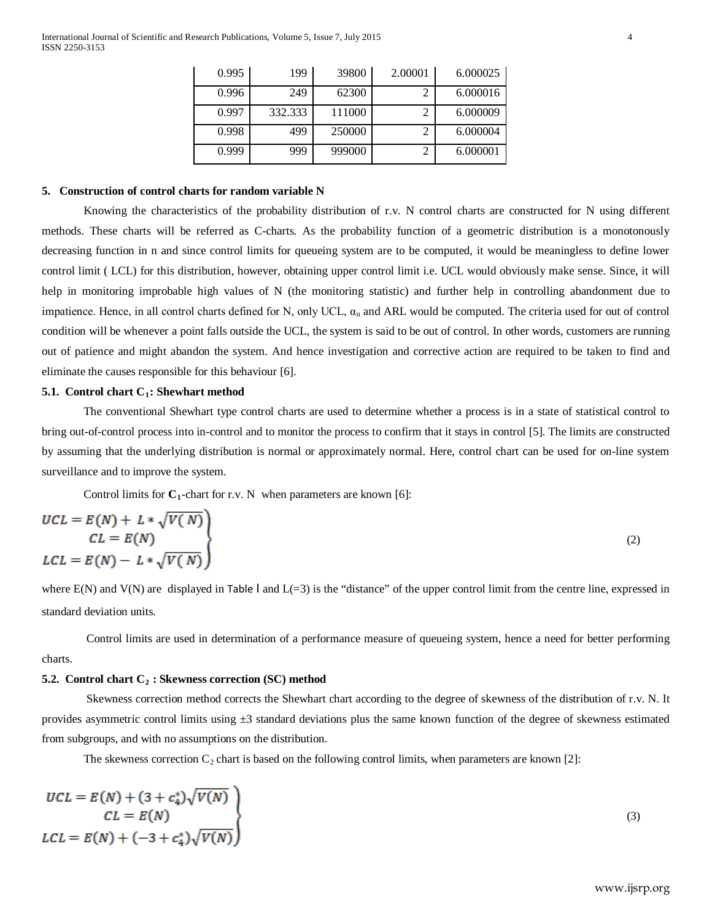| 0.995 | 199     | 39800  | 2.00001 | 6.000025 |
|-------|---------|--------|---------|----------|
| 0.996 | 249     | 62300  |         | 6.000016 |
| 0.997 | 332.333 | 111000 | ി       | 6.000009 |
| 0.998 | 499     | 250000 | ◠       | 6.000004 |
| 0.999 | 999     | 999000 |         | 6.000001 |

# **5. Construction of control charts for random variable N**

Knowing the characteristics of the probability distribution of r.v. N control charts are constructed for N using different methods. These charts will be referred as C-charts. As the probability function of a geometric distribution is a monotonously decreasing function in n and since control limits for queueing system are to be computed, it would be meaningless to define lower control limit ( LCL) for this distribution, however, obtaining upper control limit i.e. UCL would obviously make sense. Since, it will help in monitoring improbable high values of N (the monitoring statistic) and further help in controlling abandonment due to impatience. Hence, in all control charts defined for N, only UCL,  $\alpha_u$  and ARL would be computed. The criteria used for out of control condition will be whenever a point falls outside the UCL, the system is said to be out of control. In other words, customers are running out of patience and might abandon the system. And hence investigation and corrective action are required to be taken to find and eliminate the causes responsible for this behaviour [6].

#### **5.1. Control chart C<sub>1</sub>: Shewhart method**

The conventional Shewhart type control charts are used to determine whether a process is in a state of statistical control to bring out-of-control process into in-control and to monitor the process to confirm that it stays in control [5]. The limits are constructed by assuming that the underlying distribution is normal or approximately normal. Here, control chart can be used for on-line system surveillance and to improve the system.

Control limits for  $C_1$ -chart for r.v. N when parameters are known [6]:

$$
UCL = E(N) + L * \sqrt{V(N)}
$$
  
\n
$$
CL = E(N)
$$
  
\n
$$
LCL = E(N) - L * \sqrt{V(N)}
$$
\n(2)

where  $E(N)$  and  $V(N)$  are displayed in Table I and  $L(=3)$  is the "distance" of the upper control limit from the centre line, expressed in standard deviation units.

Control limits are used in determination of a performance measure of queueing system, hence a need for better performing charts.

# **5.2. Control chart C<sub>2</sub> : Skewness correction (SC) method**

Skewness correction method corrects the Shewhart chart according to the degree of skewness of the distribution of r.v. N. It provides asymmetric control limits using  $\pm 3$  standard deviations plus the same known function of the degree of skewness estimated from subgroups, and with no assumptions on the distribution.

The skewness correction  $C_2$  chart is based on the following control limits, when parameters are known [2]:

$$
UCL = E(N) + (3 + c_4^*)\sqrt{V(N)}
$$
  
\n
$$
CL = E(N)
$$
  
\n
$$
LCL = E(N) + (-3 + c_4^*)\sqrt{V(N)}
$$
\n(3)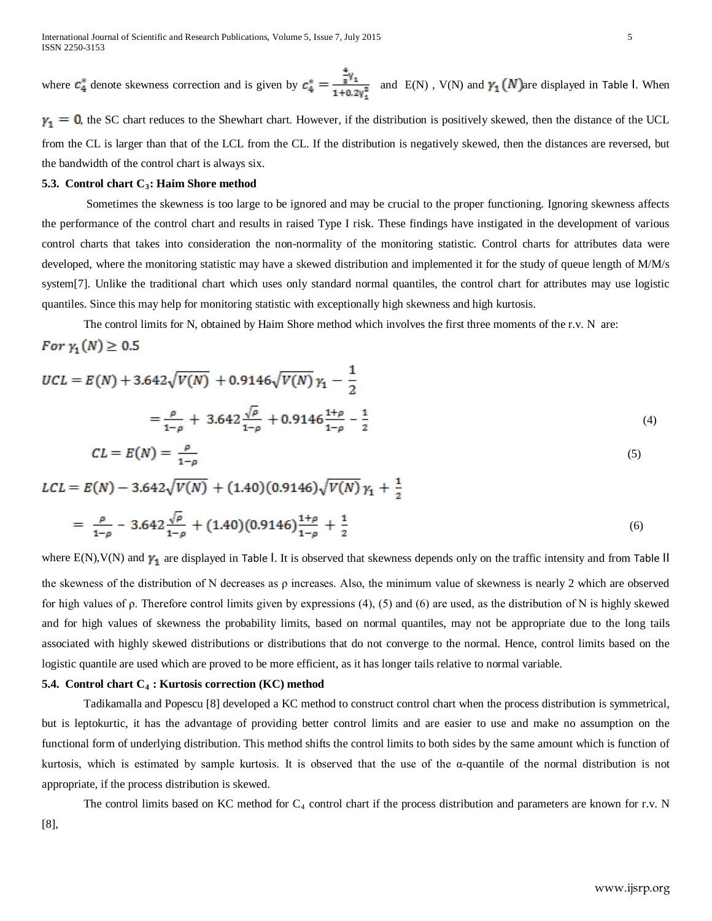where  $\mathcal{C}_4^*$  denote skewness correction and is given by  $\mathcal{C}_4^* = \frac{\frac{4}{8}v_1}{1+0.2v_1^2}$  and E(N), V(N) and  $\gamma_1(N)$  are displayed in Table I. When

 $\gamma_1 = 0$ , the SC chart reduces to the Shewhart chart. However, if the distribution is positively skewed, then the distance of the UCL from the CL is larger than that of the LCL from the CL. If the distribution is negatively skewed, then the distances are reversed, but the bandwidth of the control chart is always six.

# **5.3. Control chart C<sub>3</sub>: Haim Shore method**

Sometimes the skewness is too large to be ignored and may be crucial to the proper functioning. Ignoring skewness affects the performance of the control chart and results in raised Type I risk. These findings have instigated in the development of various control charts that takes into consideration the non-normality of the monitoring statistic. Control charts for attributes data were developed, where the monitoring statistic may have a skewed distribution and implemented it for the study of queue length of M/M/s system[7]. Unlike the traditional chart which uses only standard normal quantiles, the control chart for attributes may use logistic quantiles. Since this may help for monitoring statistic with exceptionally high skewness and high kurtosis.

The control limits for N, obtained by Haim Shore method which involves the first three moments of the r.v. N are:

For  $\gamma_1(N) \geq 0.5$ 

$$
UCL = E(N) + 3.642\sqrt{V(N)} + 0.9146\sqrt{V(N)}\gamma_1 - \frac{1}{2}
$$
  
=  $\frac{\rho}{1-\rho}$  + 3.642 $\frac{\sqrt{\rho}}{1-\rho}$  + 0.9146 $\frac{1+\rho}{1-\rho}$  -  $\frac{1}{2}$  (4)

$$
CL = E(N) = \frac{\rho}{1 - \rho} \tag{5}
$$

$$
LCL = E(N) - 3.642\sqrt{V(N)} + (1.40)(0.9146)\sqrt{V(N)}\gamma_1 + \frac{1}{2}
$$

$$
= \frac{\rho}{1-\rho} - 3.642 \frac{\sqrt{\rho}}{1-\rho} + (1.40)(0.9146) \frac{1+\rho}{1-\rho} + \frac{1}{2}
$$
\n
$$
\tag{6}
$$

where  $E(N)$ ,  $V(N)$  and  $\gamma_1$  are displayed in Table I. It is observed that skewness depends only on the traffic intensity and from Table II the skewness of the distribution of N decreases as ρ increases. Also, the minimum value of skewness is nearly 2 which are observed for high values of ρ. Therefore control limits given by expressions (4), (5) and (6) are used, as the distribution of N is highly skewed and for high values of skewness the probability limits, based on normal quantiles, may not be appropriate due to the long tails associated with highly skewed distributions or distributions that do not converge to the normal. Hence, control limits based on the logistic quantile are used which are proved to be more efficient, as it has longer tails relative to normal variable.

## **5.4. Control chart C4 : Kurtosis correction (KC) method**

Tadikamalla and Popescu [8] developed a KC method to construct control chart when the process distribution is symmetrical, but is leptokurtic, it has the advantage of providing better control limits and are easier to use and make no assumption on the functional form of underlying distribution. This method shifts the control limits to both sides by the same amount which is function of kurtosis, which is estimated by sample kurtosis. It is observed that the use of the α-quantile of the normal distribution is not appropriate, if the process distribution is skewed.

The control limits based on KC method for  $C_4$  control chart if the process distribution and parameters are known for r.v. N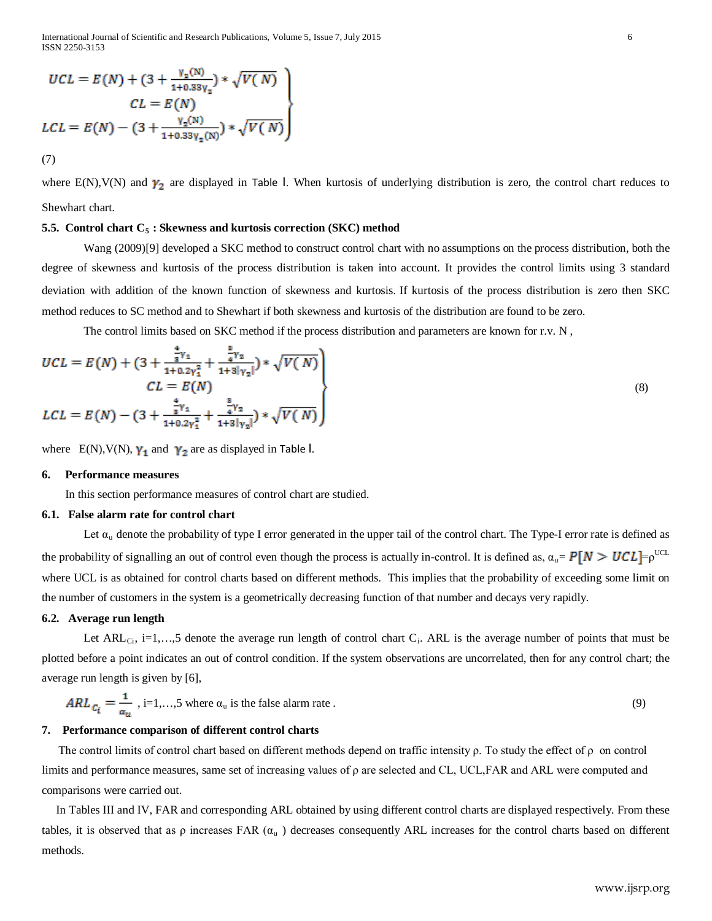International Journal of Scientific and Research Publications, Volume 5, Issue 7, July 2015 6 ISSN 2250-3153

$$
UCL = E(N) + (3 + \frac{v_x(N)}{1 + 0.33v_x}) * \sqrt{V(N)}
$$
  
\n
$$
CL = E(N)
$$
  
\n
$$
LCL = E(N) - (3 + \frac{v_x(N)}{1 + 0.33v_x(N)}) * \sqrt{V(N)}
$$
  
\n(7)

where  $E(N)$ ,  $V(N)$  and  $\gamma_2$  are displayed in Table I. When kurtosis of underlying distribution is zero, the control chart reduces to Shewhart chart.

#### **5.5. Control chart C<sub>5</sub> : Skewness and kurtosis correction (SKC) method**

Wang (2009)[9] developed a SKC method to construct control chart with no assumptions on the process distribution, both the degree of skewness and kurtosis of the process distribution is taken into account. It provides the control limits using 3 standard deviation with addition of the known function of skewness and kurtosis. If kurtosis of the process distribution is zero then SKC method reduces to SC method and to Shewhart if both skewness and kurtosis of the distribution are found to be zero.

The control limits based on SKC method if the process distribution and parameters are known for r.v. N ,

$$
UCL = E(N) + (3 + \frac{\frac{1}{8}v_1}{1 + 0.2v_1^2} + \frac{\frac{1}{4}v_2}{1 + 3|v_2|}) * \sqrt{V(N)}
$$
  
\n
$$
CL = E(N)
$$
  
\n
$$
LCL = E(N) - (3 + \frac{\frac{4}{8}v_1}{1 + 0.2v_1^2} + \frac{\frac{8}{4}v_2}{1 + 3|v_2|}) * \sqrt{V(N)}
$$
\n(8)

where  $E(N), V(N), \gamma_1$  and  $\gamma_2$  are as displayed in Table I.

## **6. Performance measures**

In this section performance measures of control chart are studied.

#### **6.1. False alarm rate for control chart**

Let  $\alpha_u$  denote the probability of type I error generated in the upper tail of the control chart. The Type-I error rate is defined as the probability of signalling an out of control even though the process is actually in-control. It is defined as,  $\alpha_u = P[N > UCL] = \rho^{UCL}$ where UCL is as obtained for control charts based on different methods. This implies that the probability of exceeding some limit on the number of customers in the system is a geometrically decreasing function of that number and decays very rapidly.

#### **6.2. Average run length**

Let ARL<sub>Ci</sub>, i=1,...,5 denote the average run length of control chart C<sub>i</sub>. ARL is the average number of points that must be plotted before a point indicates an out of control condition. If the system observations are uncorrelated, then for any control chart; the average run length is given by [6],

$$
ARL_{\mathcal{C}_{\mathbf{i}}} = \frac{1}{\alpha_{\mathbf{u}}}, \text{ i=1,...,5 where } \alpha_{\mathbf{u}} \text{ is the false alarm rate.}
$$
 (9)

#### **7. Performance comparison of different control charts**

The control limits of control chart based on different methods depend on traffic intensity  $\rho$ . To study the effect of  $\rho$  on control limits and performance measures, same set of increasing values of ρ are selected and CL, UCL,FAR and ARL were computed and comparisons were carried out.

 In Tables III and IV, FAR and corresponding ARL obtained by using different control charts are displayed respectively. From these tables, it is observed that as  $\rho$  increases FAR  $(\alpha_u)$  decreases consequently ARL increases for the control charts based on different methods.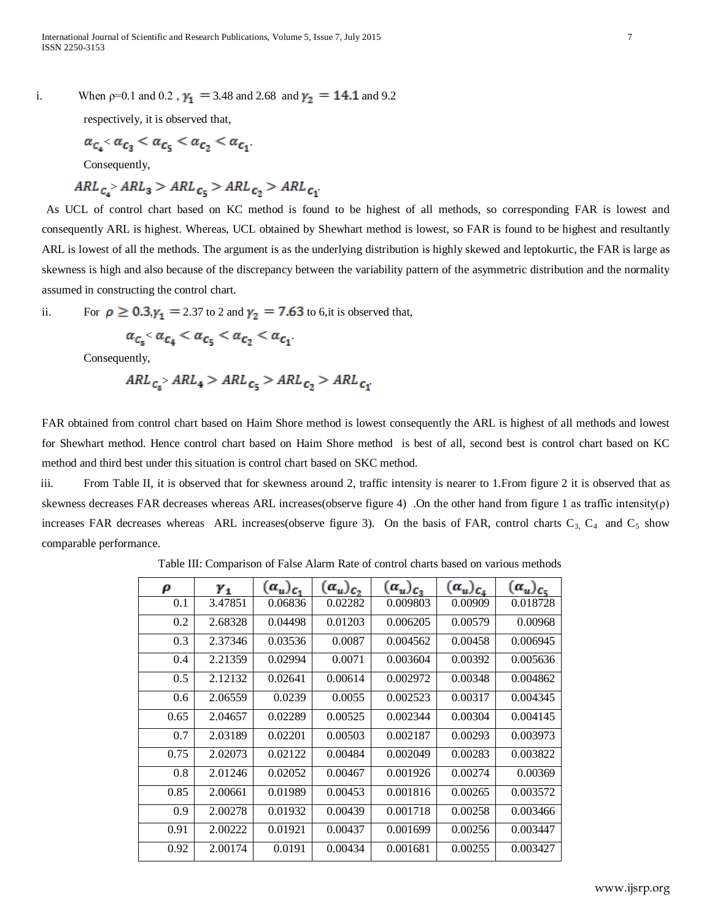i. When  $p=0.1$  and 0.2,  $\gamma_1 = 3.48$  and 2.68 and  $\gamma_2 = 14.1$  and 9.2

respectively, it is observed that,

$$
\alpha_{c_a} < \alpha_{c_3} < \alpha_{c_5} < \alpha_{c_2} < \alpha_{c_1}
$$

Consequently,

$$
ARL_{c_4} > ARL_3 > ARL_{c_5} > ARL_{c_2} > ARL_{c_1}
$$

 As UCL of control chart based on KC method is found to be highest of all methods, so corresponding FAR is lowest and consequently ARL is highest. Whereas, UCL obtained by Shewhart method is lowest, so FAR is found to be highest and resultantly ARL is lowest of all the methods. The argument is as the underlying distribution is highly skewed and leptokurtic, the FAR is large as skewness is high and also because of the discrepancy between the variability pattern of the asymmetric distribution and the normality assumed in constructing the control chart.

ii. For  $\rho \ge 0.3$ ,  $\gamma_1 = 2.37$  to 2 and  $\gamma_2 = 7.63$  to 6,it is observed that,

$$
\alpha_{c_3} < \alpha_{c_4} < \alpha_{c_5} < \alpha_{c_2} < \alpha_{c_1}
$$

Consequently,

$$
ARL_{c_8} > ARL_4 > ARL_{c_5} > ARL_{c_2} > ARL_{c_1}
$$

FAR obtained from control chart based on Haim Shore method is lowest consequently the ARL is highest of all methods and lowest for Shewhart method. Hence control chart based on Haim Shore method is best of all, second best is control chart based on KC method and third best under this situation is control chart based on SKC method.

 iii. From Table II, it is observed that for skewness around 2, traffic intensity is nearer to 1.From figure 2 it is observed that as skewness decreases FAR decreases whereas ARL increases(observe figure 4) .On the other hand from figure 1 as traffic intensity(ρ) increases FAR decreases whereas ARL increases(observe figure 3). On the basis of FAR, control charts  $C_3$ ,  $C_4$  and  $C_5$  show comparable performance.

Table III: Comparison of False Alarm Rate of control charts based on various methods

| ρ    | $Y_1$   | $(\alpha_u)_{c_1}$ | $(\alpha_u)_{c}$ | $(\alpha_u)_{\mathcal{C}_3}$ | $(\alpha_u)_{c_4}$ | $(\alpha_u)_{c_{\overline{u}}}$ |
|------|---------|--------------------|------------------|------------------------------|--------------------|---------------------------------|
| 0.1  | 3.47851 | 0.06836            | 0.02282          | 0.009803                     | 0.00909            | 0.018728                        |
| 0.2  | 2.68328 | 0.04498            | 0.01203          | 0.006205                     | 0.00579            | 0.00968                         |
| 0.3  | 2.37346 | 0.03536            | 0.0087           | 0.004562                     | 0.00458            | 0.006945                        |
| 0.4  | 2.21359 | 0.02994            | 0.0071           | 0.003604                     | 0.00392            | 0.005636                        |
| 0.5  | 2.12132 | 0.02641            | 0.00614          | 0.002972                     | 0.00348            | 0.004862                        |
| 0.6  | 2.06559 | 0.0239             | 0.0055           | 0.002523                     | 0.00317            | 0.004345                        |
| 0.65 | 2.04657 | 0.02289            | 0.00525          | 0.002344                     | 0.00304            | 0.004145                        |
| 0.7  | 2.03189 | 0.02201            | 0.00503          | 0.002187                     | 0.00293            | 0.003973                        |
| 0.75 | 2.02073 | 0.02122            | 0.00484          | 0.002049                     | 0.00283            | 0.003822                        |
| 0.8  | 2.01246 | 0.02052            | 0.00467          | 0.001926                     | 0.00274            | 0.00369                         |
| 0.85 | 2.00661 | 0.01989            | 0.00453          | 0.001816                     | 0.00265            | 0.003572                        |
| 0.9  | 2.00278 | 0.01932            | 0.00439          | 0.001718                     | 0.00258            | 0.003466                        |
| 0.91 | 2.00222 | 0.01921            | 0.00437          | 0.001699                     | 0.00256            | 0.003447                        |
| 0.92 | 2.00174 | 0.0191             | 0.00434          | 0.001681                     | 0.00255            | 0.003427                        |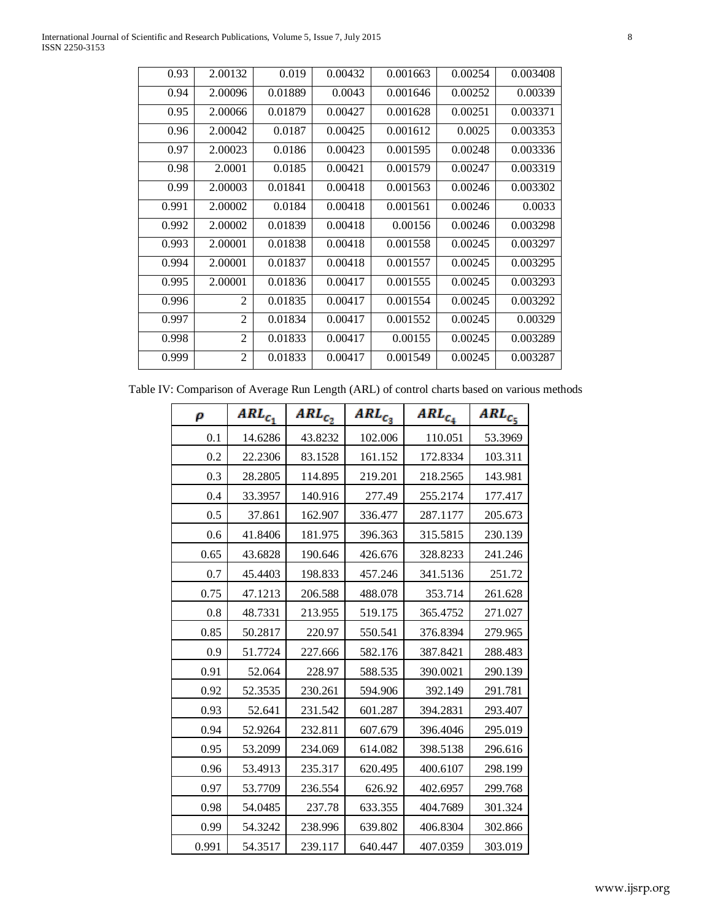| 0.93  | 2.00132        | 0.019   | 0.00432 | 0.001663 | 0.00254 | 0.003408 |
|-------|----------------|---------|---------|----------|---------|----------|
| 0.94  | 2.00096        | 0.01889 | 0.0043  | 0.001646 | 0.00252 | 0.00339  |
| 0.95  | 2.00066        | 0.01879 | 0.00427 | 0.001628 | 0.00251 | 0.003371 |
| 0.96  | 2.00042        | 0.0187  | 0.00425 | 0.001612 | 0.0025  | 0.003353 |
| 0.97  | 2.00023        | 0.0186  | 0.00423 | 0.001595 | 0.00248 | 0.003336 |
| 0.98  | 2.0001         | 0.0185  | 0.00421 | 0.001579 | 0.00247 | 0.003319 |
| 0.99  | 2.00003        | 0.01841 | 0.00418 | 0.001563 | 0.00246 | 0.003302 |
| 0.991 | 2.00002        | 0.0184  | 0.00418 | 0.001561 | 0.00246 | 0.0033   |
| 0.992 | 2.00002        | 0.01839 | 0.00418 | 0.00156  | 0.00246 | 0.003298 |
| 0.993 | 2.00001        | 0.01838 | 0.00418 | 0.001558 | 0.00245 | 0.003297 |
| 0.994 | 2.00001        | 0.01837 | 0.00418 | 0.001557 | 0.00245 | 0.003295 |
| 0.995 | 2.00001        | 0.01836 | 0.00417 | 0.001555 | 0.00245 | 0.003293 |
| 0.996 | $\overline{2}$ | 0.01835 | 0.00417 | 0.001554 | 0.00245 | 0.003292 |
| 0.997 | 2              | 0.01834 | 0.00417 | 0.001552 | 0.00245 | 0.00329  |
| 0.998 | $\overline{2}$ | 0.01833 | 0.00417 | 0.00155  | 0.00245 | 0.003289 |
| 0.999 | 2              | 0.01833 | 0.00417 | 0.001549 | 0.00245 | 0.003287 |

Table IV: Comparison of Average Run Length (ARL) of control charts based on various methods

| ρ     | $ARL_{c_1}$ | $ARL_{C_2}$ | $ARL_{C_3}$ | $ARL_{c_4}$ | $ARL_{C_5}$ |
|-------|-------------|-------------|-------------|-------------|-------------|
| 0.1   | 14.6286     | 43.8232     | 102.006     | 110.051     | 53.3969     |
| 0.2   | 22.2306     | 83.1528     | 161.152     | 172.8334    | 103.311     |
| 0.3   | 28.2805     | 114.895     | 219.201     | 218.2565    | 143.981     |
| 0.4   | 33.3957     | 140.916     | 277.49      | 255.2174    | 177.417     |
| 0.5   | 37.861      | 162.907     | 336.477     | 287.1177    | 205.673     |
| 0.6   | 41.8406     | 181.975     | 396.363     | 315.5815    | 230.139     |
| 0.65  | 43.6828     | 190.646     | 426.676     | 328.8233    | 241.246     |
| 0.7   | 45.4403     | 198.833     | 457.246     | 341.5136    | 251.72      |
| 0.75  | 47.1213     | 206.588     | 488.078     | 353.714     | 261.628     |
| 0.8   | 48.7331     | 213.955     | 519.175     | 365.4752    | 271.027     |
| 0.85  | 50.2817     | 220.97      | 550.541     | 376.8394    | 279.965     |
| 0.9   | 51.7724     | 227.666     | 582.176     | 387.8421    | 288.483     |
| 0.91  | 52.064      | 228.97      | 588.535     | 390.0021    | 290.139     |
| 0.92  | 52.3535     | 230.261     | 594.906     | 392.149     | 291.781     |
| 0.93  | 52.641      | 231.542     | 601.287     | 394.2831    | 293.407     |
| 0.94  | 52.9264     | 232.811     | 607.679     | 396.4046    | 295.019     |
| 0.95  | 53.2099     | 234.069     | 614.082     | 398.5138    | 296.616     |
| 0.96  | 53.4913     | 235.317     | 620.495     | 400.6107    | 298.199     |
| 0.97  | 53.7709     | 236.554     | 626.92      | 402.6957    | 299.768     |
| 0.98  | 54.0485     | 237.78      | 633.355     | 404.7689    | 301.324     |
| 0.99  | 54.3242     | 238.996     | 639.802     | 406.8304    | 302.866     |
| 0.991 | 54.3517     | 239.117     | 640.447     | 407.0359    | 303.019     |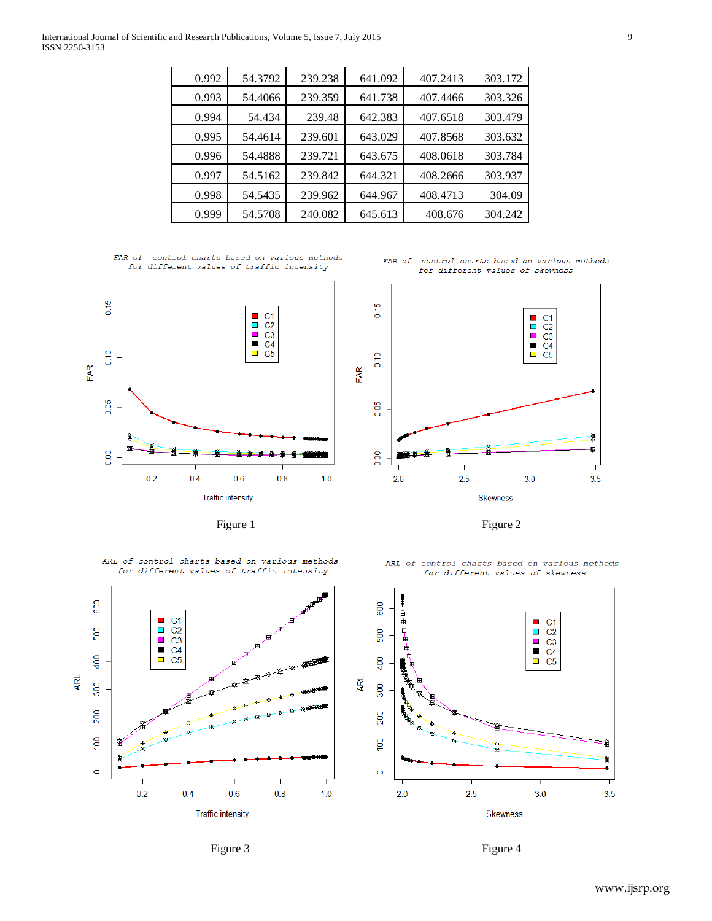| 0.992 | 54.3792 | 239.238 | 641.092 | 407.2413 | 303.172 |
|-------|---------|---------|---------|----------|---------|
| 0.993 | 54.4066 | 239.359 | 641.738 | 407.4466 | 303.326 |
| 0.994 | 54.434  | 239.48  | 642.383 | 407.6518 | 303.479 |
| 0.995 | 54.4614 | 239.601 | 643.029 | 407.8568 | 303.632 |
| 0.996 | 54.4888 | 239.721 | 643.675 | 408.0618 | 303.784 |
| 0.997 | 54.5162 | 239.842 | 644.321 | 408.2666 | 303.937 |
| 0.998 | 54.5435 | 239.962 | 644.967 | 408.4713 | 304.09  |
| 0.999 | 54.5708 | 240.082 | 645.613 | 408.676  | 304.242 |
|       |         |         |         |          |         |

International Journal of Scientific and Research Publications, Volume 5, Issue 7, July 2015 9 ISSN 2250-3153

> FAR of control charts based on various methods for different values of traffic intensity







Figure 1 Figure 2 and  $\frac{1}{2}$  Figure 2

ARL of control charts based on various methods

600

500

400

300

200

 $\frac{8}{2}$ 

 $\circ$ 

ĄRL

 $\blacksquare$  $C<sub>5</sub>$ 

 $0.2$ 

 $0.4$ 

for different values of traffic intensity  $C1$ <br> $C2$ <br> $C3$ <br> $C4$  $\mathcal{L}_{\mathcal{A}}$  $\overline{\phantom{a}}$ 

ARL of control charts based on various methods for different values of skewness





 $0.6$ 

**Traffic intensity** 

 $0.8$ 

 $1.0$